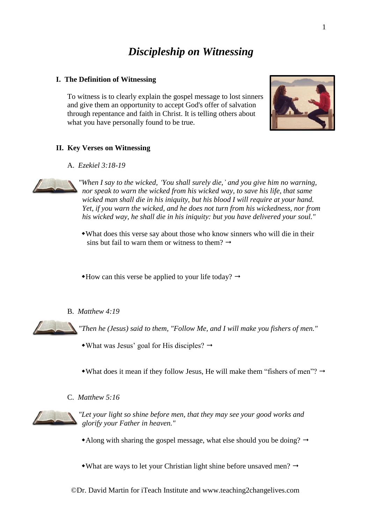# *Discipleship on Witnessing*

### **I. The Definition of Witnessing**

To witness is to clearly explain the gospel message to lost sinners and give them an opportunity to accept God's offer of salvation through repentance and faith in Christ. It is telling others about what you have personally found to be true.



A. *Ezekiel 3:18-19*



*"When I say to the wicked, 'You shall surely die,' and you give him no warning, nor speak to warn the wicked from his wicked way, to save his life, that same wicked man shall die in his iniquity, but his blood I will require at your hand. Yet, if you warn the wicked, and he does not turn from his wickedness, nor from his wicked way, he shall die in his iniquity: but you have delivered your soul."*

What does this verse say about those who know sinners who will die in their sins but fail to warn them or witness to them?  $\rightarrow$ 

 $*$ How can this verse be applied to your life today?  $\rightarrow$ 

B. *Matthew 4:19*

*"Then he (Jesus) said to them, "Follow Me, and I will make you fishers of men."*

- $\bullet$  What was Jesus' goal for His disciples?  $\rightarrow$
- What does it mean if they follow Jesus, He will make them "fishers of men"?  $\rightarrow$
- C. *Matthew 5:16*



*"Let your light so shine before men, that they may see your good works and glorify your Father in heaven."*

- Along with sharing the gospel message, what else should you be doing?  $\rightarrow$
- What are ways to let your Christian light shine before unsaved men?  $\rightarrow$

©Dr. David Martin for iTeach Institute and www.teaching2changelives.com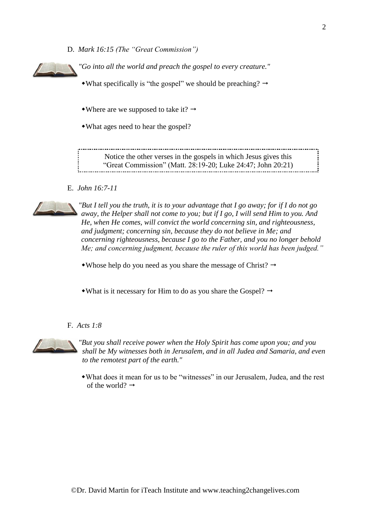D. *Mark 16:15 (The "Great Commission")*

*"Go into all the world and preach the gospel to every creature."*

• What specifically is "the gospel" we should be preaching?  $\rightarrow$ 

• Where are we supposed to take it?  $\rightarrow$ 

What ages need to hear the gospel?

Notice the other verses in the gospels in which Jesus gives this "Great Commission" (Matt. 28:19-20; Luke 24:47; John 20:21)

E. *John 16:7-11*



*"But I tell you the truth, it is to your advantage that I go away; for if I do not go away, the Helper shall not come to you; but if I go, I will send Him to you. And He, when He comes, will convict the world concerning sin, and righteousness, and judgment; concerning sin, because they do not believe in Me; and concerning righteousness, because I go to the Father, and you no longer behold Me; and concerning judgment, because the ruler of this world has been judged."*

• Whose help do you need as you share the message of Christ?  $\rightarrow$ 

• What is it necessary for Him to do as you share the Gospel?  $\rightarrow$ 

#### F. *Acts 1:8*



*"But you shall receive power when the Holy Spirit has come upon you; and you shall be My witnesses both in Jerusalem, and in all Judea and Samaria, and even to the remotest part of the earth."*

What does it mean for us to be "witnesses" in our Jerusalem, Judea, and the rest of the world?  $\rightarrow$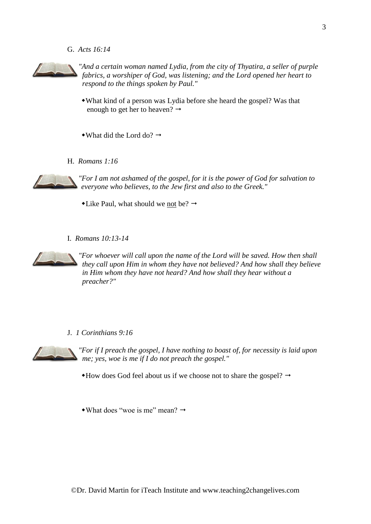G. *Acts 16:14*



*"And a certain woman named Lydia, from the city of Thyatira, a seller of purple fabrics, a worshiper of God, was listening; and the Lord opened her heart to respond to the things spoken by Paul."*

- What kind of a person was Lydia before she heard the gospel? Was that enough to get her to heaven?  $\rightarrow$
- What did the Lord do?  $\rightarrow$
- H. *Romans 1:16*



*"For I am not ashamed of the gospel, for it is the power of God for salvation to everyone who believes, to the Jew first and also to the Greek."*

 $\triangle$ Like Paul, what should we not be?  $\rightarrow$ 

I. *Romans 10:13-14*



*"For whoever will call upon the name of the Lord will be saved. How then shall they call upon Him in whom they have not believed? And how shall they believe in Him whom they have not heard? And how shall they hear without a preacher?"*

J. *1 Corinthians 9:16*



*"For if I preach the gospel, I have nothing to boast of, for necessity is laid upon me; yes, woe is me if I do not preach the gospel."*

 $*$ How does God feel about us if we choose not to share the gospel?  $\rightarrow$ 

• What does "woe is me" mean?  $\rightarrow$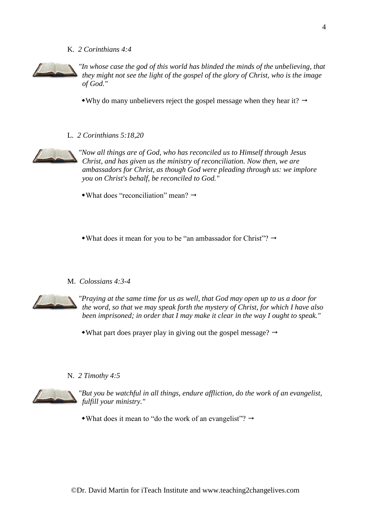#### K. *2 Corinthians 4:4*



*"In whose case the god of this world has blinded the minds of the unbelieving, that they might not see the light of the gospel of the glory of Christ, who is the image of God."*

• Why do many unbelievers reject the gospel message when they hear it?  $\rightarrow$ 

L. *2 Corinthians 5:18,20*



*"Now all things are of God, who has reconciled us to Himself through Jesus Christ, and has given us the ministry of reconciliation. Now then, we are ambassadors for Christ, as though God were pleading through us: we implore you on Christ's behalf, be reconciled to God."*

- $\rightarrow$ What does "reconciliation" mean?  $\rightarrow$
- What does it mean for you to be "an ambassador for Christ"?  $\rightarrow$

#### M. *Colossians 4:3-4*



*"Praying at the same time for us as well, that God may open up to us a door for the word, so that we may speak forth the mystery of Christ, for which I have also been imprisoned; in order that I may make it clear in the way I ought to speak."*

- What part does prayer play in giving out the gospel message?  $\rightarrow$
- N. *2 Timothy 4:5*



*"But you be watchful in all things, endure affliction, do the work of an evangelist, fulfill your ministry."*

• What does it mean to "do the work of an evangelist"?  $\rightarrow$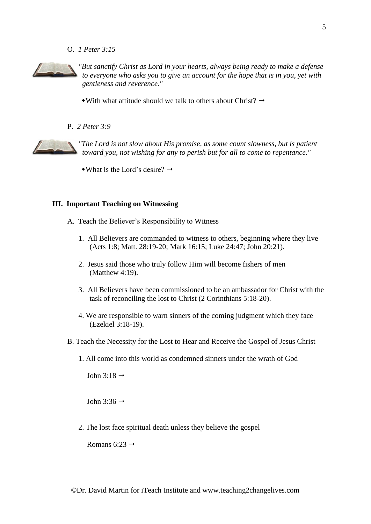O. *1 Peter 3:15*



*"But sanctify Christ as Lord in your hearts, always being ready to make a defense to everyone who asks you to give an account for the hope that is in you, yet with gentleness and reverence."*

- $\bullet$  With what attitude should we talk to others about Christ?  $\rightarrow$
- P. *2 Peter 3:9*

*"The Lord is not slow about His promise, as some count slowness, but is patient toward you, not wishing for any to perish but for all to come to repentance."*

 $\rightarrow$ What is the Lord's desire?  $\rightarrow$ 

#### **III. Important Teaching on Witnessing**

- A. Teach the Believer's Responsibility to Witness
	- 1. All Believers are commanded to witness to others, beginning where they live (Acts 1:8; Matt. 28:19-20; Mark 16:15; Luke 24:47; John 20:21).
	- 2. Jesus said those who truly follow Him will become fishers of men (Matthew 4:19).
	- 3. All Believers have been commissioned to be an ambassador for Christ with the task of reconciling the lost to Christ (2 Corinthians 5:18-20).
	- 4. We are responsible to warn sinners of the coming judgment which they face (Ezekiel 3:18-19).
- B. Teach the Necessity for the Lost to Hear and Receive the Gospel of Jesus Christ
	- 1. All come into this world as condemned sinners under the wrath of God

John 3:18  $\rightarrow$ 

John 3:36  $\rightarrow$ 

2. The lost face spiritual death unless they believe the gospel

Romans 6:23  $\rightarrow$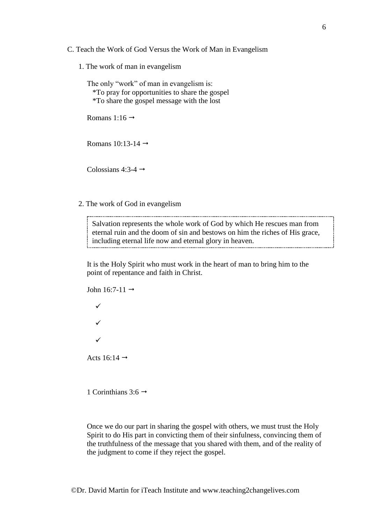- C. Teach the Work of God Versus the Work of Man in Evangelism
	- 1. The work of man in evangelism

The only "work" of man in evangelism is: \*To pray for opportunities to share the gospel \*To share the gospel message with the lost

Romans 1:16  $\rightarrow$ 

Romans 10:13-14  $\rightarrow$ 

Colossians  $4:3-4 \rightarrow$ 

2. The work of God in evangelism

Salvation represents the whole work of God by which He rescues man from eternal ruin and the doom of sin and bestows on him the riches of His grace, including eternal life now and eternal glory in heaven.

It is the Holy Spirit who must work in the heart of man to bring him to the point of repentance and faith in Christ.

John 16:7-11  $\rightarrow$ ✓ ✓ ✓ Acts 16:14  $\rightarrow$ 

1 Corinthians 3:6  $\rightarrow$ 

Once we do our part in sharing the gospel with others, we must trust the Holy Spirit to do His part in convicting them of their sinfulness, convincing them of the truthfulness of the message that you shared with them, and of the reality of the judgment to come if they reject the gospel.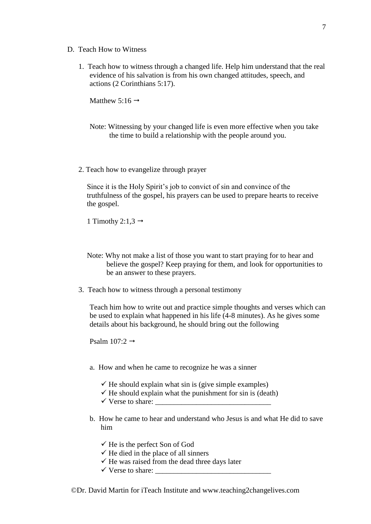- D. Teach How to Witness
	- 1. Teach how to witness through a changed life. Help him understand that the real evidence of his salvation is from his own changed attitudes, speech, and actions (2 Corinthians 5:17).

Matthew 5:16  $\rightarrow$ 

- Note: Witnessing by your changed life is even more effective when you take the time to build a relationship with the people around you.
- 2. Teach how to evangelize through prayer

Since it is the Holy Spirit's job to convict of sin and convince of the truthfulness of the gospel, his prayers can be used to prepare hearts to receive the gospel.

1 Timothy 2:1,3  $\rightarrow$ 

- Note: Why not make a list of those you want to start praying for to hear and believe the gospel? Keep praying for them, and look for opportunities to be an answer to these prayers.
- 3. Teach how to witness through a personal testimony

Teach him how to write out and practice simple thoughts and verses which can be used to explain what happened in his life (4-8 minutes). As he gives some details about his background, he should bring out the following

Psalm  $107:2 \rightarrow$ 

- a. How and when he came to recognize he was a sinner
	- $\checkmark$  He should explain what sin is (give simple examples)
	- $\checkmark$  He should explain what the punishment for sin is (death)
	- ✓ Verse to share: \_\_\_\_\_\_\_\_\_\_\_\_\_\_\_\_\_\_\_\_\_\_\_\_\_\_\_\_\_\_\_
- b. How he came to hear and understand who Jesus is and what He did to save him
	- $\checkmark$  He is the perfect Son of God
	- $\checkmark$  He died in the place of all sinners
	- $\checkmark$  He was raised from the dead three days later
	- $\checkmark$  Verse to share: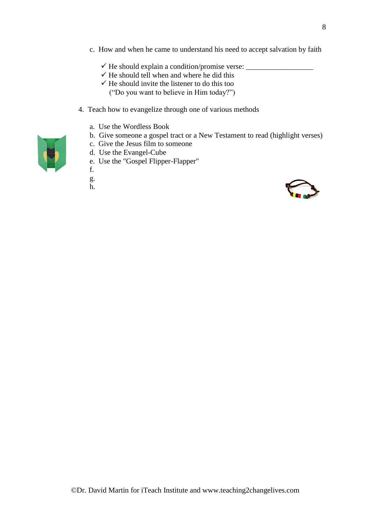- c. How and when he came to understand his need to accept salvation by faith
	- ✓ He should explain a condition/promise verse: \_\_\_\_\_\_\_\_\_\_\_\_\_\_\_\_\_\_
	- $\checkmark$  He should tell when and where he did this
	- $\checkmark$  He should invite the listener to do this too
		- ("Do you want to believe in Him today?")
- 4. Teach how to evangelize through one of various methods
	- a. Use the Wordless Book
	- b. Give someone a gospel tract or a New Testament to read (highlight verses)
	- c. Give the Jesus film to someone
	- d. Use the Evangel-Cube
	- e. Use the "Gospel Flipper-Flapper"
	- f.
	- g.
	- h.

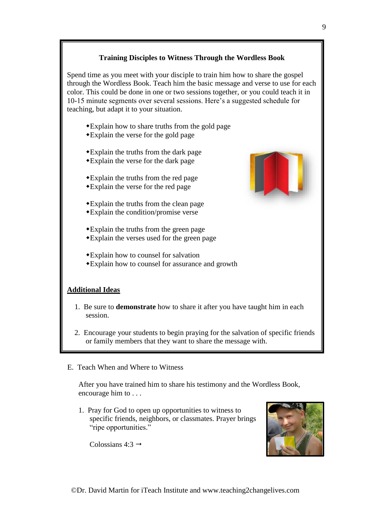# **Training Disciples to Witness Through the Wordless Book**

Spend time as you meet with your disciple to train him how to share the gospel through the Wordless Book. Teach him the basic message and verse to use for each color. This could be done in one or two sessions together, or you could teach it in 10-15 minute segments over several sessions. Here's a suggested schedule for teaching, but adapt it to your situation.

- Explain how to share truths from the gold page
- Explain the verse for the gold page
- Explain the truths from the dark page
- Explain the verse for the dark page
- Explain the truths from the red page
- Explain the verse for the red page
- Explain the truths from the clean page Explain the condition/promise verse
- Explain the truths from the green page
- Explain the verses used for the green page
- Explain how to counsel for salvation
- Explain how to counsel for assurance and growth

# **Additional Ideas**

- 1. Be sure to **demonstrate** how to share it after you have taught him in each session.
- 2. Encourage your students to begin praying for the salvation of specific friends or family members that they want to share the message with.
- E. Teach When and Where to Witness

After you have trained him to share his testimony and the Wordless Book, encourage him to . . .

1. Pray for God to open up opportunities to witness to specific friends, neighbors, or classmates. Prayer brings "ripe opportunities."

Colossians  $4:3 \rightarrow$ 

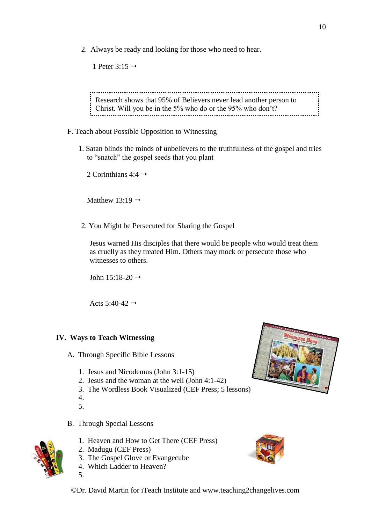2. Always be ready and looking for those who need to hear.

1 Peter 3:15  $\rightarrow$ 

Research shows that 95% of Believers never lead another person to Christ. Will you be in the 5% who do or the 95% who don't?

- F. Teach about Possible Opposition to Witnessing
	- 1. Satan blinds the minds of unbelievers to the truthfulness of the gospel and tries to "snatch" the gospel seeds that you plant

2 Corinthians  $4:4 \rightarrow$ 

Matthew 13:19  $\rightarrow$ 

2. You Might be Persecuted for Sharing the Gospel

Jesus warned His disciples that there would be people who would treat them as cruelly as they treated Him. Others may mock or persecute those who witnesses to others.

John  $15:18-20 \rightarrow$ 

Acts 5:40-42  $\rightarrow$ 

### **IV. Ways to Teach Witnessing**

- A. Through Specific Bible Lessons
	- 1. Jesus and Nicodemus (John 3:1-15)
	- 2. Jesus and the woman at the well (John 4:1-42)
	- 3. The Wordless Book Visualized (CEF Press; 5 lessons)
	- 4.
	- 5.
- B. Through Special Lessons
	- 1. Heaven and How to Get There (CEF Press)
	- 2. Madugu (CEF Press)
	- 3. The Gospel Glove or Evangecube
	- 4. Which Ladder to Heaven?
	- 5.



©Dr. David Martin for iTeach Institute and www.teaching2changelives.com

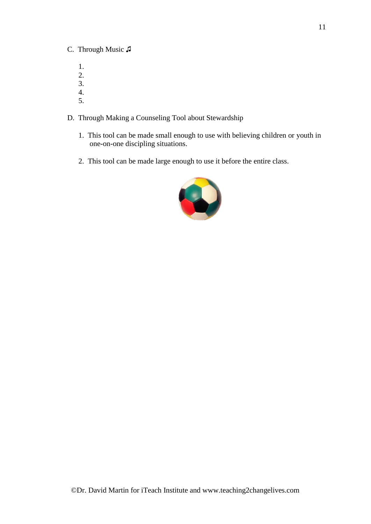# C. Through Music ♫

- 1. 2. 3.
- 4. 5.

# D. Through Making a Counseling Tool about Stewardship

- 1. This tool can be made small enough to use with believing children or youth in one-on-one discipling situations.
- 2. This tool can be made large enough to use it before the entire class.

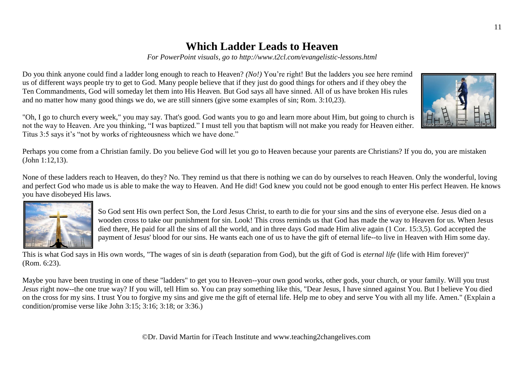# **Which Ladder Leads to Heaven**

*For PowerPoint visuals, go to http://www.t2cl.com/evangelistic-lessons.html*

Do you think anyone could find a ladder long enough to reach to Heaven? *(No!)* You're right! But the ladders you see here remind us of different ways people try to get to God. Many people believe that if they just do good things for others and if they obey the Ten Commandments, God will someday let them into His Heaven. But God says all have sinned. All of us have broken His rules and no matter how many good things we do, we are still sinners (give some examples of sin; Rom. 3:10,23).

"Oh, I go to church every week," you may say. That's good. God wants you to go and learn more about Him, but going to church is not the way to Heaven. Are you thinking, "I was baptized." I must tell you that baptism will not make you ready for Heaven either. Titus 3:5 says it's "not by works of righteousness which we have done."

Perhaps you come from a Christian family. Do you believe God will let you go to Heaven because your parents are Christians? If you do, you are mistaken (John 1:12,13).

None of these ladders reach to Heaven, do they? No. They remind us that there is nothing we can do by ourselves to reach Heaven. Only the wonderful, loving and perfect God who made us is able to make the way to Heaven. And He did! God knew you could not be good enough to enter His perfect Heaven. He knows you have disobeyed His laws.



So God sent His own perfect Son, the Lord Jesus Christ, to earth to die for your sins and the sins of everyone else. Jesus died on a wooden cross to take our punishment for sin. Look! This cross reminds us that God has made the way to Heaven for us. When Jesus died there, He paid for all the sins of all the world, and in three days God made Him alive again (1 Cor. 15:3,5). God accepted the payment of Jesus' blood for our sins. He wants each one of us to have the gift of eternal life--to live in Heaven with Him some day.

This is what God says in His own words, "The wages of sin is *death* (separation from God), but the gift of God is *eternal life* (life with Him forever)" (Rom. 6:23).

Maybe you have been trusting in one of these "ladders" to get you to Heaven--your own good works, other gods, your church, or your family. Will you trust *Jesus* right now--the one true way? If you will, tell Him so. You can pray something like this, "Dear Jesus, I have sinned against You. But I believe You died on the cross for my sins. I trust You to forgive my sins and give me the gift of eternal life. Help me to obey and serve You with all my life. Amen." (Explain a condition/promise verse like John 3:15; 3:16; 3:18; or 3:36.)

©Dr. David Martin for iTeach Institute and www.teaching2changelives.com

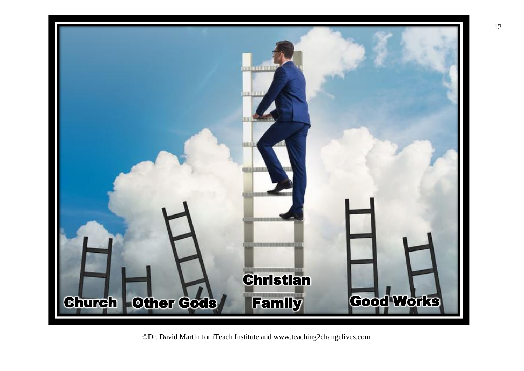

©Dr. David Martin for iTeach Institute and www.teaching2changelives.com